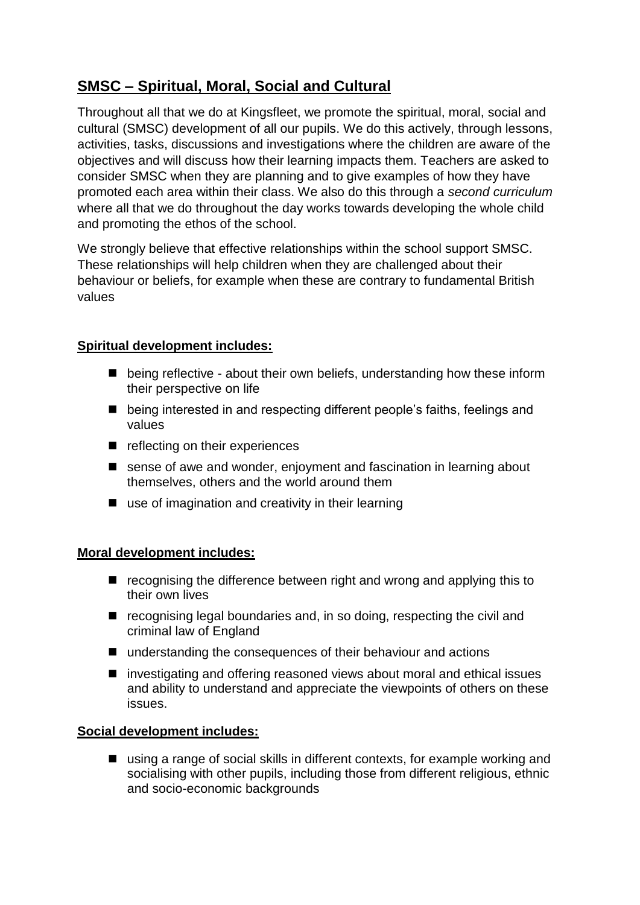# **SMSC – Spiritual, Moral, Social and Cultural**

Throughout all that we do at Kingsfleet, we promote the spiritual, moral, social and cultural (SMSC) development of all our pupils. We do this actively, through lessons, activities, tasks, discussions and investigations where the children are aware of the objectives and will discuss how their learning impacts them. Teachers are asked to consider SMSC when they are planning and to give examples of how they have promoted each area within their class. We also do this through a *second curriculum* where all that we do throughout the day works towards developing the whole child and promoting the ethos of the school.

We strongly believe that effective relationships within the school support SMSC. These relationships will help children when they are challenged about their behaviour or beliefs, for example when these are contrary to fundamental British values

### **Spiritual development includes:**

- being reflective about their own beliefs, understanding how these inform their perspective on life
- being interested in and respecting different people's faiths, feelings and values
- reflecting on their experiences
- $\blacksquare$  sense of awe and wonder, enjoyment and fascination in learning about themselves, others and the world around them
- use of imagination and creativity in their learning

### **Moral development includes:**

- $\blacksquare$  recognising the difference between right and wrong and applying this to their own lives
- recognising legal boundaries and, in so doing, respecting the civil and criminal law of England
- understanding the consequences of their behaviour and actions
- investigating and offering reasoned views about moral and ethical issues and ability to understand and appreciate the viewpoints of others on these issues.

### **Social development includes:**

■ using a range of social skills in different contexts, for example working and socialising with other pupils, including those from different religious, ethnic and socio-economic backgrounds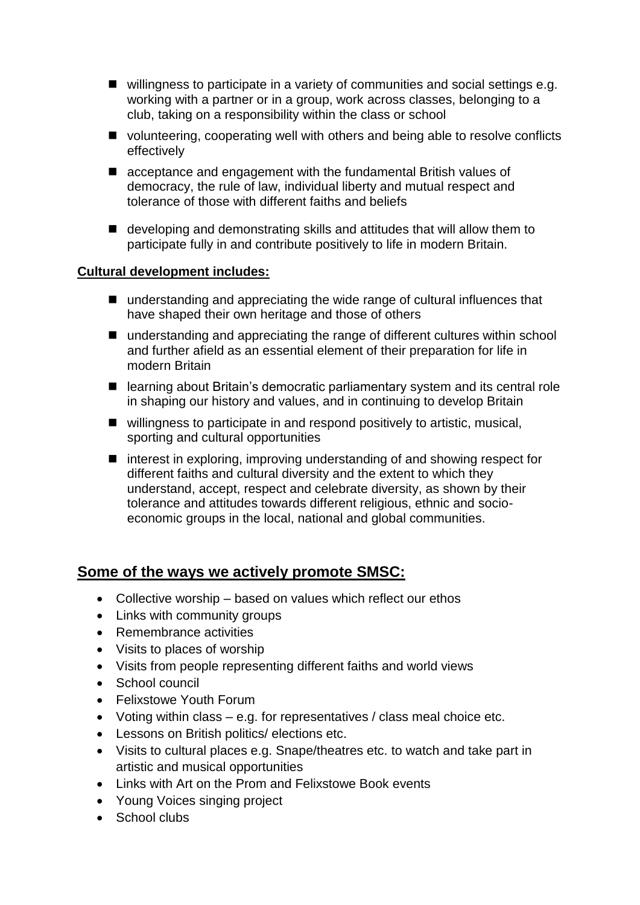- willingness to participate in a variety of communities and social settings e.g. working with a partner or in a group, work across classes, belonging to a club, taking on a responsibility within the class or school
- volunteering, cooperating well with others and being able to resolve conflicts effectively
- acceptance and engagement with the fundamental British values of democracy, the rule of law, individual liberty and mutual respect and tolerance of those with different faiths and beliefs
- developing and demonstrating skills and attitudes that will allow them to participate fully in and contribute positively to life in modern Britain.

#### **Cultural development includes:**

- understanding and appreciating the wide range of cultural influences that have shaped their own heritage and those of others
- understanding and appreciating the range of different cultures within school and further afield as an essential element of their preparation for life in modern Britain
- learning about Britain's democratic parliamentary system and its central role in shaping our history and values, and in continuing to develop Britain
- willingness to participate in and respond positively to artistic, musical, sporting and cultural opportunities
- $\blacksquare$  interest in exploring, improving understanding of and showing respect for different faiths and cultural diversity and the extent to which they understand, accept, respect and celebrate diversity, as shown by their tolerance and attitudes towards different religious, ethnic and socioeconomic groups in the local, national and global communities.

## **Some of the ways we actively promote SMSC:**

- Collective worship based on values which reflect our ethos
- Links with community groups
- Remembrance activities
- Visits to places of worship
- Visits from people representing different faiths and world views
- School council
- Felixstowe Youth Forum
- Voting within class e.g. for representatives / class meal choice etc.
- Lessons on British politics/ elections etc.
- Visits to cultural places e.g. Snape/theatres etc. to watch and take part in artistic and musical opportunities
- Links with Art on the Prom and Felixstowe Book events
- Young Voices singing project
- School clubs